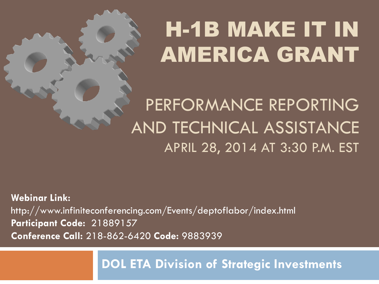# H-1B MAKE IT IN AMERICA GRANT

PERFORMANCE REPORTING AND TECHNICAL ASSISTANCE APRIL 28, 2014 AT 3:30 P.M. EST

**Webinar Link:**  http://www.infiniteconferencing.com/Events/deptoflabor/index.html **Participant Code:** 21889157 **Conference Call:** 218-862-6420 **Code:** 9883939

**DOL ETA Division of Strategic Investments**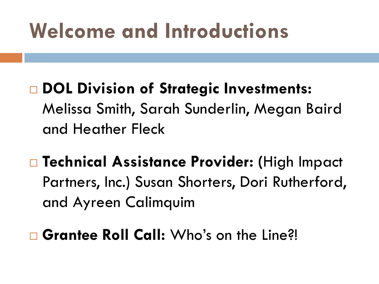## **Welcome and Introductions**

- **DOL Division of Strategic Investments:**  Melissa Smith, Sarah Sunderlin, Megan Baird and Heather Fleck
- **Technical Assistance Provider: (**High Impact Partners, Inc.) Susan Shorters, Dori Rutherford, and Ayreen Calimquim
- □ Grantee Roll Call: Who's on the Line?!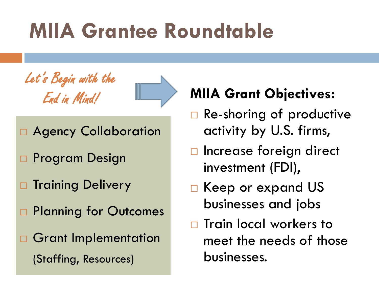# **MIIA Grantee Roundtable**





- Agency Collaboration
- □ Program Design
- **D** Training Delivery
- □ Planning for Outcomes
- **D** Grant Implementation (Staffing, Resources)

### **MIIA Grant Objectives:**

- $\Box$  Re-shoring of productive activity by U.S. firms,
- $\Box$  Increase foreign direct investment (FDI),
- □ Keep or expand US businesses and jobs
- $\Box$  Train local workers to meet the needs of those businesses.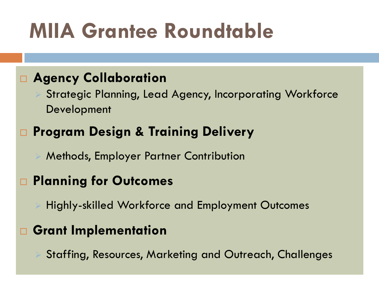# **MIIA Grantee Roundtable**

#### **Agency Collaboration**

 Strategic Planning, Lead Agency, Incorporating Workforce Development

#### **Program Design & Training Delivery**

Methods, Employer Partner Contribution

#### **Planning for Outcomes**

Highly-skilled Workforce and Employment Outcomes

#### **Grant Implementation**

Staffing, Resources, Marketing and Outreach, Challenges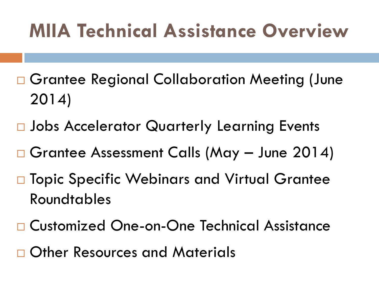### **MIIA Technical Assistance Overview**

- □ Grantee Regional Collaboration Meeting (June 2014)
- □ Jobs Accelerator Quarterly Learning Events
- Grantee Assessment Calls (May June 2014)
- □ Topic Specific Webinars and Virtual Grantee Roundtables
- □ Customized One-on-One Technical Assistance
- □ Other Resources and Materials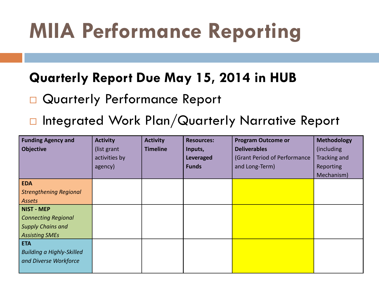# **MIIA Performance Reporting**

#### **Quarterly Report Due May 15, 2014 in HUB**

- Quarterly Performance Report
- □ Integrated Work Plan/Quarterly Narrative Report

| <b>Funding Agency and</b>        | <b>Activity</b> | <b>Activity</b> | <b>Resources:</b> | <b>Program Outcome or</b>    | <b>Methodology</b> |
|----------------------------------|-----------------|-----------------|-------------------|------------------------------|--------------------|
| <b>Objective</b>                 | (list grant     | <b>Timeline</b> | Inputs,           | <b>Deliverables</b>          | (including)        |
|                                  | activities by   |                 | <b>Leveraged</b>  | (Grant Period of Performance | Tracking and       |
|                                  | agency)         |                 | <b>Funds</b>      | and Long-Term)               | Reporting          |
|                                  |                 |                 |                   |                              | Mechanism)         |
| <b>EDA</b>                       |                 |                 |                   |                              |                    |
| <b>Strengthening Regional</b>    |                 |                 |                   |                              |                    |
| <b>Assets</b>                    |                 |                 |                   |                              |                    |
| <b>NIST - MEP</b>                |                 |                 |                   |                              |                    |
| <b>Connecting Regional</b>       |                 |                 |                   |                              |                    |
| Supply Chains and                |                 |                 |                   |                              |                    |
| <b>Assisting SMEs</b>            |                 |                 |                   |                              |                    |
| <b>ETA</b>                       |                 |                 |                   |                              |                    |
| <b>Building a Highly-Skilled</b> |                 |                 |                   |                              |                    |
| and Diverse Workforce            |                 |                 |                   |                              |                    |
|                                  |                 |                 |                   |                              |                    |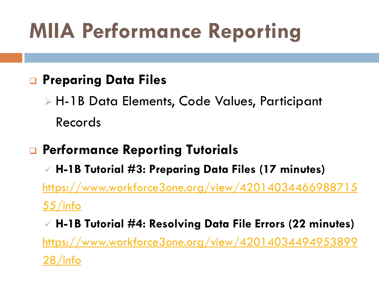# **MIIA Performance Reporting**

#### **Preparing Data Files**

 H-1B Data Elements, Code Values, Participant Records

### **Performance Reporting Tutorials**

 **H-1B Tutorial #3: Preparing Data Files (17 minutes)** [https://www.workforce3one.org/view/42014034466988715](https://www.workforce3one.org/view/4201403446698871555/info) [55/info](https://www.workforce3one.org/view/4201403446698871555/info)

 **H-1B Tutorial #4: Resolving Data File Errors (22 minutes)** [https://www.workforce3one.org/view/42014034494953899](https://www.workforce3one.org/view/4201403449495389928/info) [28/info](https://www.workforce3one.org/view/4201403449495389928/info)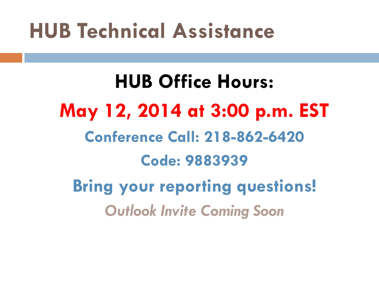## **HUB Technical Assistance**

**HUB Office Hours: May 12, 2014 at 3:00 p.m. EST Conference Call: 218-862-6420 Code: 9883939 Bring your reporting questions!** *Outlook Invite Coming Soon*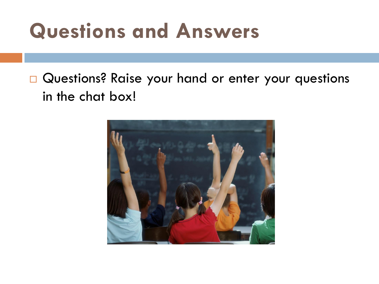## **Questions and Answers**

### Questions? Raise your hand or enter your questions in the chat box!